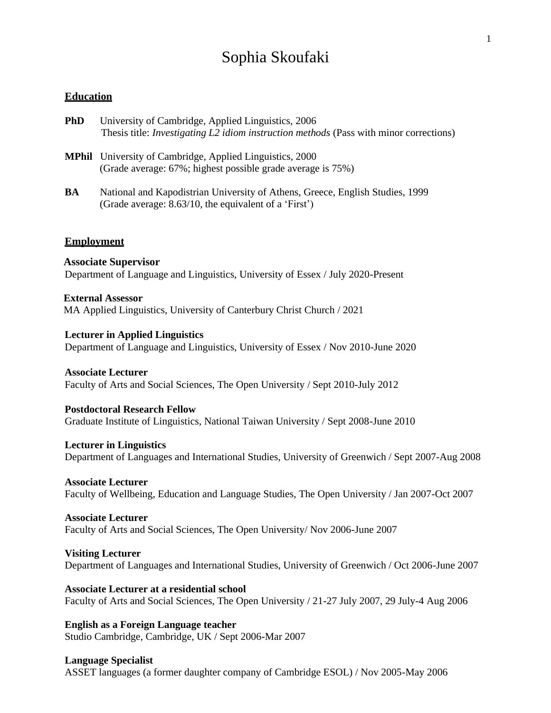# Sophia Skoufaki

# **Education**

| <b>PhD</b> | University of Cambridge, Applied Linguistics, 2006                                            |
|------------|-----------------------------------------------------------------------------------------------|
|            | Thesis title: <i>Investigating L2 idiom instruction methods</i> (Pass with minor corrections) |

- **MPhil** University of Cambridge, Applied Linguistics, 2000 (Grade average: 67%; highest possible grade average is 75%)
- **BA** National and Kapodistrian University of Athens, Greece, English Studies, 1999 (Grade average: 8.63/10, the equivalent of a 'First')

### **Employment**

 **Associate Supervisor** Department of Language and Linguistics, University of Essex / July 2020-Present

 **External Assessor** MA Applied Linguistics, University of Canterbury Christ Church / 2021

**Lecturer in Applied Linguistics** Department of Language and Linguistics, University of Essex / Nov 2010-June 2020

**Associate Lecturer** Faculty of Arts and Social Sciences, The Open University / Sept 2010-July 2012

**Postdoctoral Research Fellow** Graduate Institute of Linguistics, National Taiwan University / Sept 2008-June 2010

**Lecturer in Linguistics** Department of Languages and International Studies, University of Greenwich / Sept 2007-Aug 2008

**Associate Lecturer** Faculty of Wellbeing, Education and Language Studies, The Open University / Jan 2007-Oct 2007

**Associate Lecturer** Faculty of Arts and Social Sciences, The Open University/ Nov 2006-June 2007

**Visiting Lecturer** Department of Languages and International Studies, University of Greenwich / Oct 2006-June 2007

**Associate Lecturer at a residential school** Faculty of Arts and Social Sciences, The Open University / 21-27 July 2007, 29 July-4 Aug 2006

**English as a Foreign Language teacher** Studio Cambridge, Cambridge, UK / Sept 2006-Mar 2007

**Language Specialist** ASSET languages (a former daughter company of Cambridge ESOL) / Nov 2005-May 2006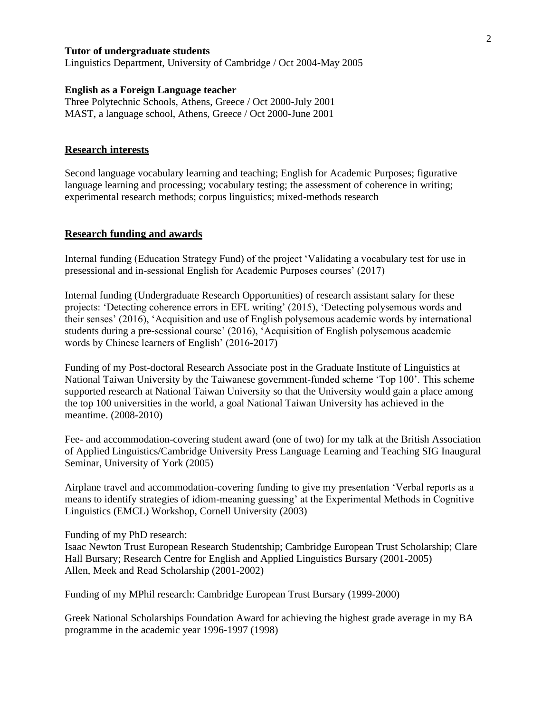## **Tutor of undergraduate students**

Linguistics Department, University of Cambridge / Oct 2004-May 2005

#### **English as a Foreign Language teacher**

Three Polytechnic Schools, Athens, Greece / Oct 2000-July 2001 MAST, a language school, Athens, Greece / Oct 2000-June 2001

#### **Research interests**

Second language vocabulary learning and teaching; English for Academic Purposes; figurative language learning and processing; vocabulary testing; the assessment of coherence in writing; experimental research methods; corpus linguistics; mixed-methods research

## **Research funding and awards**

Internal funding (Education Strategy Fund) of the project 'Validating a vocabulary test for use in presessional and in-sessional English for Academic Purposes courses' (2017)

Internal funding (Undergraduate Research Opportunities) of research assistant salary for these projects: 'Detecting coherence errors in EFL writing' (2015), 'Detecting polysemous words and their senses' (2016), 'Acquisition and use of English polysemous academic words by international students during a pre-sessional course' (2016), 'Acquisition of English polysemous academic words by Chinese learners of English' (2016-2017)

Funding of my Post-doctoral Research Associate post in the Graduate Institute of Linguistics at National Taiwan University by the Taiwanese government-funded scheme 'Top 100'. This scheme supported research at National Taiwan University so that the University would gain a place among the top 100 universities in the world, a goal National Taiwan University has achieved in the meantime. (2008-2010)

Fee- and accommodation-covering student award (one of two) for my talk at the British Association of Applied Linguistics/Cambridge University Press Language Learning and Teaching SIG Inaugural Seminar, University of York (2005)

Airplane travel and accommodation-covering funding to give my presentation 'Verbal reports as a means to identify strategies of idiom-meaning guessing' at the Experimental Methods in Cognitive Linguistics (EMCL) Workshop, Cornell University (2003)

Funding of my PhD research:

Isaac Newton Trust European Research Studentship; Cambridge European Trust Scholarship; Clare Hall Bursary; Research Centre for English and Applied Linguistics Bursary (2001-2005) Allen, Meek and Read Scholarship (2001-2002)

Funding of my MPhil research: Cambridge European Trust Bursary (1999-2000)

Greek National Scholarships Foundation Award for achieving the highest grade average in my BA programme in the academic year 1996-1997 (1998)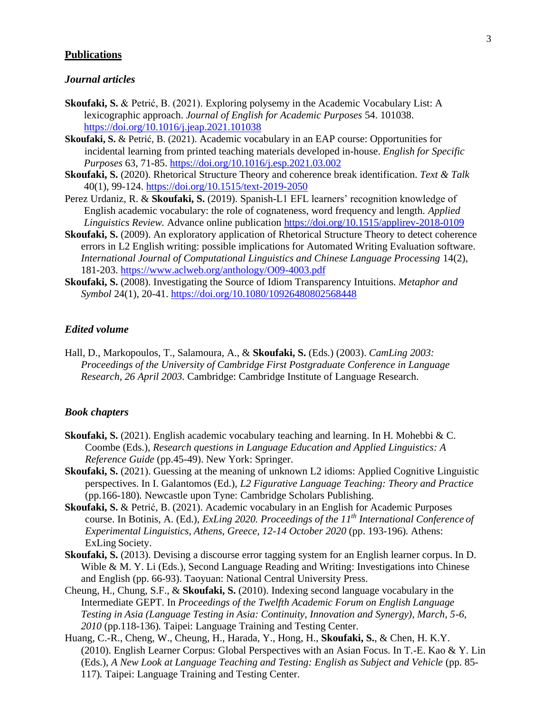# **Publications**

## *Journal articles*

- **Skoufaki, S.** & Petrić, B. (2021). Exploring polysemy in the Academic Vocabulary List: A lexicographic approach. *Journal of English for Academic Purposes* 54. 101038. <https://doi.org/10.1016/j.jeap.2021.101038>
- **Skoufaki, S.** & Petrić, B. (2021). Academic vocabulary in an EAP course: Opportunities for incidental learning from printed teaching materials developed in-house. *English for Specific Purposes* 63, 71-85.<https://doi.org/10.1016/j.esp.2021.03.002>
- **Skoufaki, S.** (2020). Rhetorical Structure Theory and coherence break identification. *Text & Talk* 40(1), 99-124.<https://doi.org/10.1515/text-2019-2050>
- Perez Urdaniz, R. & **Skoufaki, S.** (2019). Spanish-L1 EFL learners' recognition knowledge of English academic vocabulary: the role of cognateness, word frequency and length. *Applied Linguistics Review.* Advance online publication <https://doi.org/10.1515/applirev-2018-0109>
- **Skoufaki, S.** (2009). An exploratory application of Rhetorical Structure Theory to detect coherence errors in L2 English writing: possible implications for Automated Writing Evaluation software. *International Journal of Computational Linguistics and Chinese Language Processing 14(2),* 181-203.<https://www.aclweb.org/anthology/O09-4003.pdf>
- **Skoufaki, S.** (2008). Investigating the Source of Idiom Transparency Intuitions. *Metaphor and Symbol* 24(1), 20-41.<https://doi.org/10.1080/10926480802568448>

## *Edited volume*

Hall, D., Markopoulos, T., Salamoura, A., & **Skoufaki, S.** (Eds.) (2003). *CamLing 2003: Proceedings of the University of Cambridge First Postgraduate Conference in Language Research*, *26 April 2003.* Cambridge: Cambridge Institute of Language Research.

## *Book chapters*

- Skoufaki, S. (2021). English academic vocabulary teaching and learning. In H. Mohebbi & C. Coombe (Eds.), *Research questions in Language Education and Applied Linguistics: A Reference Guide* (pp.45-49). New York: Springer.
- **Skoufaki, S.** (2021). Guessing at the meaning of unknown L2 idioms: Applied Cognitive Linguistic perspectives. In I. Galantomos (Ed.), *L2 Figurative Language Teaching: Theory and Practice* (pp.166-180)*.* Newcastle upon Tyne: Cambridge Scholars Publishing.
- **Skoufaki, S.** & Petrić, B. (2021). Academic vocabulary in an English for Academic Purposes course. In Botinis, A. (Ed.), *ExLing 2020. Proceedings of the 11th International Conference of Experimental Linguistics, Athens, Greece, 12-14 October 2020* (pp. 193-196)*.* Athens: ExLing Society.
- **Skoufaki, S.** (2013). Devising a discourse error tagging system for an English learner corpus. In D. Wible & M. Y. Li (Eds.), Second Language Reading and Writing: Investigations into Chinese and English (pp. 66-93). Taoyuan: National Central University Press.
- Cheung, H., Chung, S.F., & **Skoufaki, S.** (2010). Indexing second language vocabulary in the Intermediate GEPT. In *Proceedings of the Twelfth Academic Forum on English Language Testing in Asia (Language Testing in Asia: Continuity, Innovation and Synergy), March, 5-6, 2010* (pp.118-136)*.* Taipei: Language Training and Testing Center.
- Huang, C.-R., Cheng, W., Cheung, H., Harada, Y., Hong, H., **Skoufaki, S.**, & Chen, H. K.Y. (2010). English Learner Corpus: Global Perspectives with an Asian Focus. In T.-E. Kao & Y. Lin (Eds.), *A New Look at Language Teaching and Testing: English as Subject and Vehicle* (pp. 85-117)*.* Taipei: Language Training and Testing Center.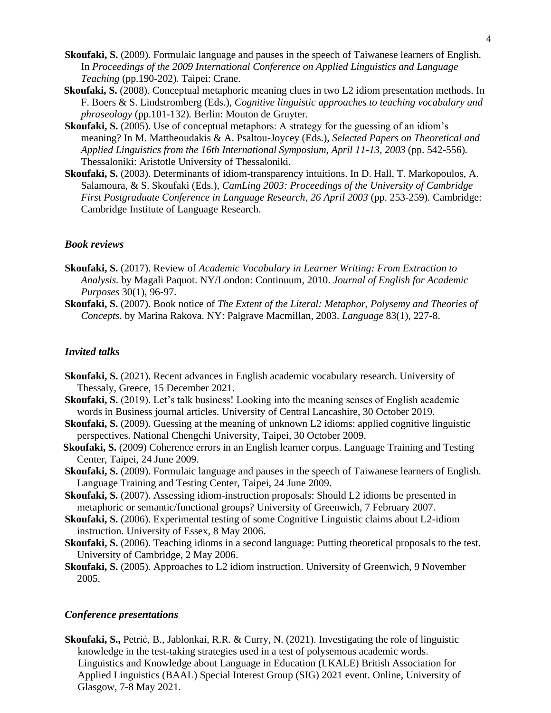- **Skoufaki, S.** (2009). Formulaic language and pauses in the speech of Taiwanese learners of English. In *Proceedings of the 2009 International Conference on Applied Linguistics and Language Teaching* (pp.190-202)*.* Taipei: Crane.
- **Skoufaki, S.** (2008). Conceptual metaphoric meaning clues in two L2 idiom presentation methods. In F. Boers & S. Lindstromberg (Eds.), *Cognitive linguistic approaches to teaching vocabulary and phraseology* (pp.101-132)*.* Berlin: Mouton de Gruyter.
- **Skoufaki, S.** (2005). Use of conceptual metaphors: A strategy for the guessing of an idiom's meaning? In M. Mattheoudakis & A. Psaltou-Joycey (Eds.), *Selected Papers on Theoretical and Applied Linguistics from the 16th International Symposium, April 11-13, 2003* (pp. 542-556)*.* Thessaloniki: Aristotle University of Thessaloniki.
- **Skoufaki, S.** (2003). Determinants of idiom-transparency intuitions. In D. Hall, T. Markopoulos, A. Salamoura, & S. Skoufaki (Eds.), *CamLing 2003: Proceedings of the University of Cambridge First Postgraduate Conference in Language Research*, *26 April 2003* (pp. 253-259)*.* Cambridge: Cambridge Institute of Language Research.

#### *Book reviews*

- **Skoufaki, S.** (2017). Review of *Academic Vocabulary in Learner Writing: From Extraction to Analysis.* by Magali Paquot. NY/London: Continuum, 2010. *Journal of English for Academic Purposes* 30(1), 96-97.
- **Skoufaki, S.** (2007). Book notice of *The Extent of the Literal: Metaphor, Polysemy and Theories of Concepts.* by Marina Rakova. NY: Palgrave Macmillan, 2003. *Language* 83(1), 227-8.

## *Invited talks*

- **Skoufaki, S.** (2021). Recent advances in English academic vocabulary research. University of Thessaly, Greece, 15 December 2021.
- **Skoufaki, S.** (2019). Let's talk business! Looking into the meaning senses of English academic words in Business journal articles. University of Central Lancashire, 30 October 2019.
- **Skoufaki, S.** (2009). Guessing at the meaning of unknown L2 idioms: applied cognitive linguistic perspectives. National Chengchi University, Taipei, 30 October 2009.
- **Skoufaki, S.** (2009) Coherence errors in an English learner corpus. Language Training and Testing Center, Taipei, 24 June 2009.
- **Skoufaki, S.** (2009). Formulaic language and pauses in the speech of Taiwanese learners of English. Language Training and Testing Center, Taipei, 24 June 2009.
- **Skoufaki, S.** (2007). Assessing idiom-instruction proposals: Should L2 idioms be presented in metaphoric or semantic/functional groups? University of Greenwich, 7 February 2007.
- **Skoufaki, S.** (2006). Experimental testing of some Cognitive Linguistic claims about L2-idiom instruction. University of Essex, 8 May 2006.
- **Skoufaki, S.** (2006). Teaching idioms in a second language: Putting theoretical proposals to the test. University of Cambridge, 2 May 2006.
- **Skoufaki, S.** (2005). Approaches to L2 idiom instruction. University of Greenwich, 9 November 2005.

## *Conference presentations*

**Skoufaki, S.,** Petrić, B., Jablonkai, R.R. & Curry, N. (2021). Investigating the role of linguistic knowledge in the test-taking strategies used in a test of polysemous academic words. Linguistics and Knowledge about Language in Education (LKALE) British Association for Applied Linguistics (BAAL) Special Interest Group (SIG) 2021 event. Online, University of Glasgow, 7-8 May 2021.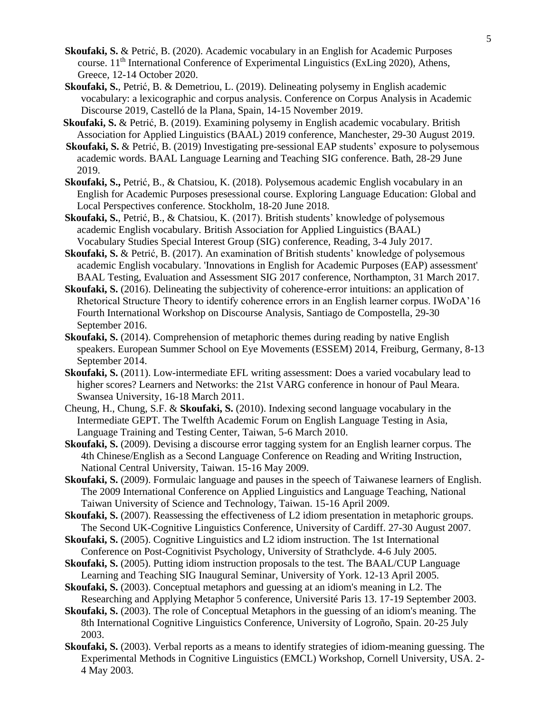- **Skoufaki, S.** & Petrić, B. (2020). Academic vocabulary in an English for Academic Purposes course. 11<sup>th</sup> International Conference of Experimental Linguistics (ExLing 2020), Athens, Greece, 12-14 October 2020.
- **Skoufaki, S.**, Petrić, B. & Demetriou, L. (2019). Delineating polysemy in English academic vocabulary: a lexicographic and corpus analysis. Conference on Corpus Analysis in Academic Discourse 2019, Castelló de la Plana, Spain, 14-15 November 2019.
- **Skoufaki, S.** & Petrić, B. (2019). Examining polysemy in English academic vocabulary. British Association for Applied Linguistics (BAAL) 2019 conference, Manchester, 29-30 August 2019.
- **Skoufaki, S. & Petrić, B.** (2019) Investigating pre-sessional EAP students' exposure to polysemous academic words. BAAL Language Learning and Teaching SIG conference. Bath, 28-29 June 2019.
- **Skoufaki, S.,** Petrić, B., & Chatsiou, K. (2018). Polysemous academic English vocabulary in an English for Academic Purposes presessional course. Exploring Language Education: Global and Local Perspectives conference. Stockholm, 18-20 June 2018.
- **Skoufaki, S.**, Petrić, B., & Chatsiou, K. (2017). British students' knowledge of polysemous academic English vocabulary. British Association for Applied Linguistics (BAAL) Vocabulary Studies Special Interest Group (SIG) conference, Reading, 3-4 July 2017.
- **Skoufaki, S.** & Petrić, B. (2017). An examination of British students' knowledge of polysemous academic English vocabulary. 'Innovations in English for Academic Purposes (EAP) assessment' BAAL Testing, Evaluation and Assessment SIG 2017 conference, Northampton, 31 March 2017.
- **Skoufaki, S.** (2016). Delineating the subjectivity of coherence-error intuitions: an application of Rhetorical Structure Theory to identify coherence errors in an English learner corpus. IWoDA'16 Fourth International Workshop on Discourse Analysis, Santiago de Compostella, 29-30 September 2016.
- **Skoufaki, S.** (2014). Comprehension of metaphoric themes during reading by native English speakers. European Summer School on Eye Movements (ESSEM) 2014, Freiburg, Germany, 8-13 September 2014.
- **Skoufaki, S.** (2011). Low-intermediate EFL writing assessment: Does a varied vocabulary lead to higher scores? Learners and Networks: the 21st VARG conference in honour of Paul Meara. Swansea University, 16-18 March 2011.
- Cheung, H., Chung, S.F. & **Skoufaki, S.** (2010). Indexing second language vocabulary in the Intermediate GEPT. The Twelfth Academic Forum on English Language Testing in Asia, Language Training and Testing Center, Taiwan, 5-6 March 2010.
- **Skoufaki, S.** (2009). Devising a discourse error tagging system for an English learner corpus. The 4th Chinese/English as a Second Language Conference on Reading and Writing Instruction, National Central University, Taiwan. 15-16 May 2009.
- **Skoufaki, S.** (2009). Formulaic language and pauses in the speech of Taiwanese learners of English. The 2009 International Conference on Applied Linguistics and Language Teaching, National Taiwan University of Science and Technology, Taiwan. 15-16 April 2009.
- **Skoufaki, S.** (2007). Reassessing the effectiveness of L2 idiom presentation in metaphoric groups. The Second UK-Cognitive Linguistics Conference, University of Cardiff. 27-30 August 2007.
- **Skoufaki, S.** (2005). Cognitive Linguistics and L2 idiom instruction. The 1st International Conference on Post-Cognitivist Psychology, University of Strathclyde. 4-6 July 2005.
- **Skoufaki, S.** (2005). Putting idiom instruction proposals to the test. The BAAL/CUP Language Learning and Teaching SIG Inaugural Seminar, University of York. 12-13 April 2005.
- **Skoufaki, S.** (2003). Conceptual metaphors and guessing at an idiom's meaning in L2. The Researching and Applying Metaphor 5 conference, Université Paris 13. 17-19 September 2003.
- **Skoufaki, S.** (2003). The role of Conceptual Metaphors in the guessing of an idiom's meaning. The 8th International Cognitive Linguistics Conference, University of Logroño, Spain. 20-25 July 2003.
- **Skoufaki, S.** (2003). Verbal reports as a means to identify strategies of idiom-meaning guessing. The Experimental Methods in Cognitive Linguistics (EMCL) Workshop, Cornell University, USA. 2- 4 May 2003.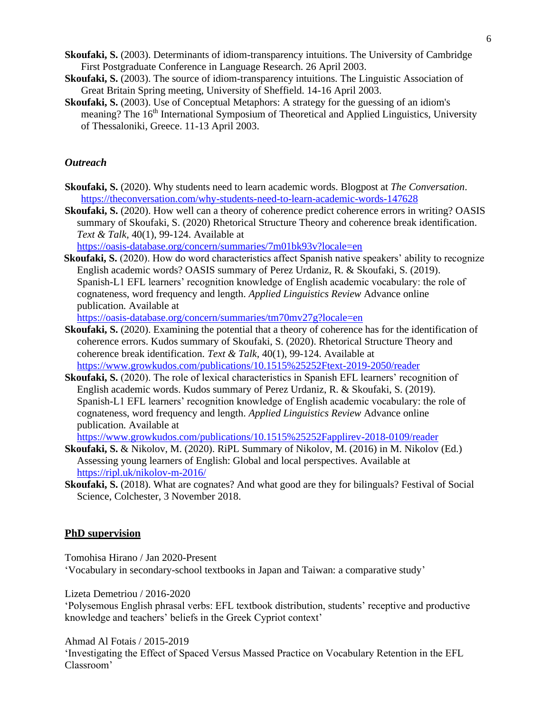- **Skoufaki, S.** (2003). Determinants of idiom-transparency intuitions. The University of Cambridge First Postgraduate Conference in Language Research. 26 April 2003.
- **Skoufaki, S.** (2003). The source of idiom-transparency intuitions. The Linguistic Association of Great Britain Spring meeting, University of Sheffield. 14-16 April 2003.
- **Skoufaki, S.** (2003). Use of Conceptual Metaphors: A strategy for the guessing of an idiom's meaning? The 16<sup>th</sup> International Symposium of Theoretical and Applied Linguistics, University of Thessaloniki, Greece. 11-13 April 2003.

# *Outreach*

- **Skoufaki, S.** (2020). Why students need to learn academic words. Blogpost at *The Conversation*. <https://theconversation.com/why-students-need-to-learn-academic-words-147628>
- **Skoufaki, S.** (2020). How well can a theory of coherence predict coherence errors in writing? OASIS summary of Skoufaki, S. (2020) Rhetorical Structure Theory and coherence break identification. *Text & Talk,* 40(1), 99-124. Available at

<https://oasis-database.org/concern/summaries/7m01bk93v?locale=en>

**Skoufaki, S.** (2020). How do word characteristics affect Spanish native speakers' ability to recognize English academic words? OASIS summary of Perez Urdaniz, R. & Skoufaki, S. (2019). Spanish-L1 EFL learners' recognition knowledge of English academic vocabulary: the role of cognateness, word frequency and length. *Applied Linguistics Review* Advance online publication*.* Available at

<https://oasis-database.org/concern/summaries/tm70mv27g?locale=en>

- **Skoufaki, S.** (2020). Examining the potential that a theory of coherence has for the identification of coherence errors. Kudos summary of Skoufaki, S. (2020). Rhetorical Structure Theory and coherence break identification. *Text & Talk,* 40(1), 99-124. Available at <https://www.growkudos.com/publications/10.1515%25252Ftext-2019-2050/reader>
- **Skoufaki, S.** (2020). The role of lexical characteristics in Spanish EFL learners' recognition of English academic words. Kudos summary of Perez Urdaniz, R. & Skoufaki, S. (2019). Spanish-L1 EFL learners' recognition knowledge of English academic vocabulary: the role of cognateness, word frequency and length. *Applied Linguistics Review* Advance online publication*.* Available at

<https://www.growkudos.com/publications/10.1515%25252Fapplirev-2018-0109/reader>

- **Skoufaki, S.** & Nikolov, M. (2020). RiPL Summary of Nikolov, M. (2016) in M. Nikolov (Ed.) Assessing young learners of English: Global and local perspectives. Available at <https://ripl.uk/nikolov-m-2016/>
- **Skoufaki, S.** (2018). What are cognates? And what good are they for bilinguals? Festival of Social Science, Colchester, 3 November 2018.

#### **PhD supervision**

Tomohisa Hirano / Jan 2020-Present

'Vocabulary in secondary-school textbooks in Japan and Taiwan: a comparative study'

Lizeta Demetriou / 2016-2020

'Polysemous English phrasal verbs: EFL textbook distribution, students' receptive and productive knowledge and teachers' beliefs in the Greek Cypriot context'

Ahmad Al Fotais / 2015-2019

'Investigating the Effect of Spaced Versus Massed Practice on Vocabulary Retention in the EFL Classroom'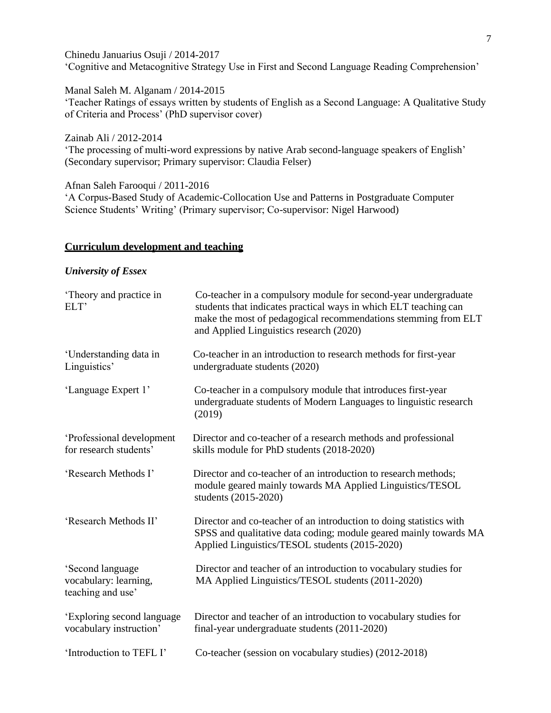Chinedu Januarius Osuji / 2014-2017 'Cognitive and Metacognitive Strategy Use in First and Second Language Reading Comprehension'

Manal Saleh M. Alganam / 2014-2015 'Teacher Ratings of essays written by students of English as a Second Language: A Qualitative Study of Criteria and Process' (PhD supervisor cover)

Zainab Ali / 2012-2014 'The processing of multi-word expressions by native Arab second-language speakers of English' (Secondary supervisor; Primary supervisor: Claudia Felser)

Afnan Saleh Farooqui / 2011-2016 'A Corpus-Based Study of Academic-Collocation Use and Patterns in Postgraduate Computer Science Students' Writing' (Primary supervisor; Co-supervisor: Nigel Harwood)

# **Curriculum development and teaching**

## *University of Essex*

| 'Theory and practice in<br>ELT'                                | Co-teacher in a compulsory module for second-year undergraduate<br>students that indicates practical ways in which ELT teaching can<br>make the most of pedagogical recommendations stemming from ELT<br>and Applied Linguistics research (2020) |
|----------------------------------------------------------------|--------------------------------------------------------------------------------------------------------------------------------------------------------------------------------------------------------------------------------------------------|
| 'Understanding data in<br>Linguistics'                         | Co-teacher in an introduction to research methods for first-year<br>undergraduate students (2020)                                                                                                                                                |
| 'Language Expert 1'                                            | Co-teacher in a compulsory module that introduces first-year<br>undergraduate students of Modern Languages to linguistic research<br>(2019)                                                                                                      |
| 'Professional development<br>for research students'            | Director and co-teacher of a research methods and professional<br>skills module for PhD students (2018-2020)                                                                                                                                     |
| 'Research Methods I'                                           | Director and co-teacher of an introduction to research methods;<br>module geared mainly towards MA Applied Linguistics/TESOL<br>students (2015-2020)                                                                                             |
| 'Research Methods II'                                          | Director and co-teacher of an introduction to doing statistics with<br>SPSS and qualitative data coding; module geared mainly towards MA<br>Applied Linguistics/TESOL students (2015-2020)                                                       |
| 'Second language<br>vocabulary: learning,<br>teaching and use' | Director and teacher of an introduction to vocabulary studies for<br>MA Applied Linguistics/TESOL students (2011-2020)                                                                                                                           |
| 'Exploring second language<br>vocabulary instruction'          | Director and teacher of an introduction to vocabulary studies for<br>final-year undergraduate students (2011-2020)                                                                                                                               |
| 'Introduction to TEFL I'                                       | Co-teacher (session on vocabulary studies) (2012-2018)                                                                                                                                                                                           |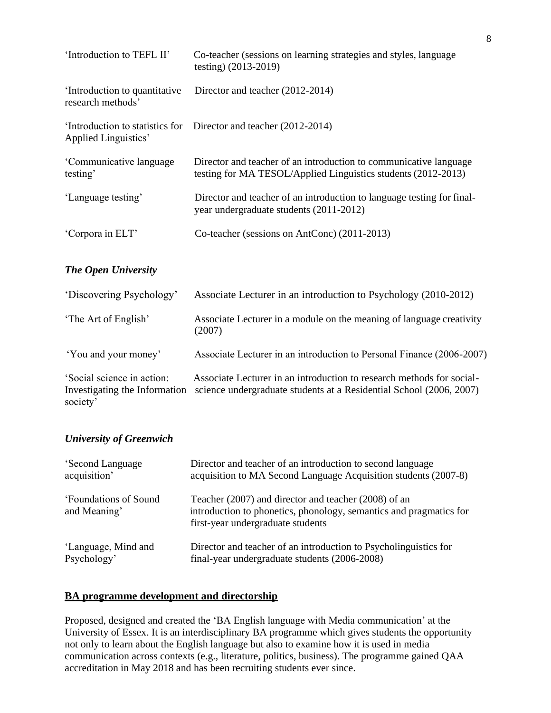| 'Introduction to TEFL II'                         | Co-teacher (sessions on learning strategies and styles, language<br>testing) (2013-2019)                                           |
|---------------------------------------------------|------------------------------------------------------------------------------------------------------------------------------------|
| Introduction to quantitative<br>research methods' | Director and teacher (2012-2014)                                                                                                   |
| Applied Linguistics'                              | 'Introduction to statistics for Director and teacher (2012-2014)                                                                   |
| 'Communicative language<br>testing'               | Director and teacher of an introduction to communicative language<br>testing for MA TESOL/Applied Linguistics students (2012-2013) |
| 'Language testing'                                | Director and teacher of an introduction to language testing for final-<br>year undergraduate students (2011-2012)                  |
| 'Corpora in ELT'                                  | Co-teacher (sessions on AntConc) (2011-2013)                                                                                       |

# *The Open University*

| 'Discovering Psychology'                                                | Associate Lecturer in an introduction to Psychology (2010-2012)                                                                              |
|-------------------------------------------------------------------------|----------------------------------------------------------------------------------------------------------------------------------------------|
| 'The Art of English'                                                    | Associate Lecturer in a module on the meaning of language creativity<br>(2007)                                                               |
| 'You and your money'                                                    | Associate Lecturer in an introduction to Personal Finance (2006-2007)                                                                        |
| 'Social science in action:<br>Investigating the Information<br>society' | Associate Lecturer in an introduction to research methods for social-<br>science undergraduate students at a Residential School (2006, 2007) |

# *University of Greenwich*

| 'Second Language                      | Director and teacher of an introduction to second language                                                                                                      |
|---------------------------------------|-----------------------------------------------------------------------------------------------------------------------------------------------------------------|
| acquisition'                          | acquisition to MA Second Language Acquisition students (2007-8)                                                                                                 |
| 'Foundations of Sound<br>and Meaning' | Teacher (2007) and director and teacher (2008) of an<br>introduction to phonetics, phonology, semantics and pragmatics for<br>first-year undergraduate students |
| 'Language, Mind and                   | Director and teacher of an introduction to Psycholinguistics for                                                                                                |
| Psychology'                           | final-year undergraduate students (2006-2008)                                                                                                                   |

# **BA programme development and directorship**

Proposed, designed and created the 'BA English language with Media communication' at the University of Essex. It is an interdisciplinary BA programme which gives students the opportunity not only to learn about the English language but also to examine how it is used in media communication across contexts (e.g., literature, politics, business). The programme gained QAA accreditation in May 2018 and has been recruiting students ever since.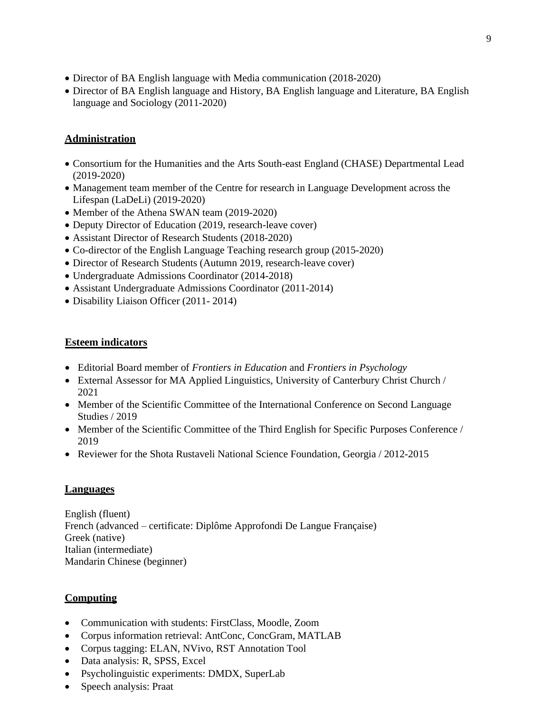- Director of BA English language with Media communication (2018-2020)
- Director of BA English language and History, BA English language and Literature, BA English language and Sociology (2011-2020)

# **Administration**

- Consortium for the Humanities and the Arts South-east England (CHASE) Departmental Lead (2019-2020)
- Management team member of the Centre for research in Language Development across the Lifespan (LaDeLi) (2019-2020)
- Member of the Athena SWAN team (2019-2020)
- Deputy Director of Education (2019, research-leave cover)
- Assistant Director of Research Students (2018-2020)
- Co-director of the English Language Teaching research group (2015-2020)
- Director of Research Students (Autumn 2019, research-leave cover)
- Undergraduate Admissions Coordinator (2014-2018)
- Assistant Undergraduate Admissions Coordinator (2011-2014)
- Disability Liaison Officer (2011-2014)

# **Esteem indicators**

- Editorial Board member of *Frontiers in Education* and *Frontiers in Psychology*
- External Assessor for MA Applied Linguistics, University of Canterbury Christ Church / 2021
- Member of the Scientific Committee of the International Conference on Second Language Studies / 2019
- Member of the Scientific Committee of the Third English for Specific Purposes Conference / 2019
- Reviewer for the Shota Rustaveli National Science Foundation, Georgia / 2012-2015

# **Languages**

English (fluent) French (advanced – certificate: Diplôme Approfondi De Langue Française) Greek (native) Italian (intermediate) Mandarin Chinese (beginner)

# **Computing**

- Communication with students: FirstClass, Moodle, Zoom
- Corpus information retrieval: AntConc, ConcGram, MATLAB
- Corpus tagging: ELAN, NVivo, RST Annotation Tool
- Data analysis: R, SPSS, Excel
- Psycholinguistic experiments: DMDX, SuperLab
- Speech analysis: Praat